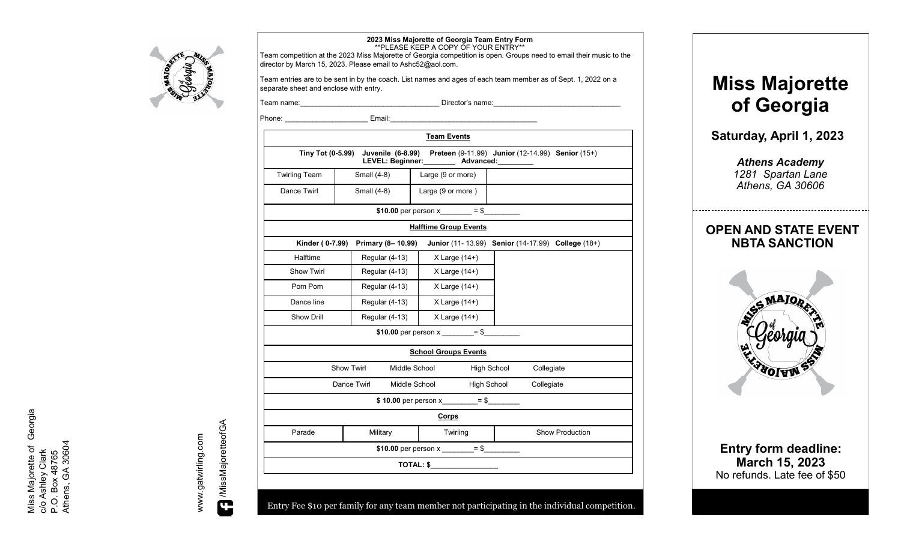

## **2023 Miss Majorette of Georgia Team Entry Form** \*\*PLEASE KEEP A COPY OF YOUR ENTRY\*\*

Team competition at the 2023 Miss Majorette of Georgia competition is open. Groups need to email their music to the director by March 15, 2023. Please email to Ashc52@aol.com.

Team entries are to be sent in by the coach. List names and ages of each team member as of Sept. 1, 2022 on a separate sheet and enclose with entry.

Team name: etc. The state of the state of the Director's name:

Phone: \_\_\_\_\_\_\_\_\_\_\_\_\_\_\_\_\_\_\_\_\_ Email:\_\_\_\_\_\_\_\_\_\_\_\_\_\_\_\_\_\_\_\_\_\_\_\_\_\_\_\_\_\_\_\_\_\_\_\_\_

| Tiny Tot (0-5.99)<br><b>Twirling Team</b><br>Dance Twirl | Small (4-8)                        | LEVEL: Beginner: ________ Advanced: _____ | Juvenile (6-8.99) Preteen (9-11.99) Junior (12-14.99) Senior (15+) |
|----------------------------------------------------------|------------------------------------|-------------------------------------------|--------------------------------------------------------------------|
|                                                          |                                    |                                           |                                                                    |
|                                                          |                                    | Large (9 or more)                         |                                                                    |
|                                                          | Small (4-8)                        | Large (9 or more)                         |                                                                    |
|                                                          |                                    | \$10.00 per person $x = $$                |                                                                    |
|                                                          |                                    | <b>Halftime Group Events</b>              |                                                                    |
| Kinder (0-7.99)                                          | Primary (8-10.99)                  |                                           | Junior (11-13.99) Senior (14-17.99) College (18+)                  |
| Halftime                                                 | Regular (4-13)                     | $X$ Large $(14+)$                         |                                                                    |
| Show Twirl                                               | Regular (4-13)                     | $X$ Large $(14+)$                         |                                                                    |
| Pom Pom                                                  | Regular (4-13)                     | $X$ Large $(14+)$                         |                                                                    |
| Dance line                                               | Regular (4-13)                     | $X$ Large $(14+)$                         |                                                                    |
| Show Drill                                               | Regular (4-13)                     | $X$ Large $(14+)$                         |                                                                    |
|                                                          |                                    | \$10.00 per person x ________= \$         |                                                                    |
|                                                          |                                    | <b>School Groups Events</b>               |                                                                    |
|                                                          | <b>Show Twirl</b><br>Middle School |                                           | High School<br>Collegiate                                          |
| Dance Twirl<br>Middle School                             |                                    |                                           | High School<br>Collegiate                                          |
|                                                          |                                    | \$10.00 per person x________ = \$         |                                                                    |
|                                                          |                                    | Corps                                     |                                                                    |
| Parade                                                   | Military                           | Twirling                                  | <b>Show Production</b>                                             |
|                                                          |                                    |                                           |                                                                    |
|                                                          |                                    | TOTAL: \$                                 |                                                                    |

Entry Fee \$10 per family for any team member not participating in the individual competition.

**Miss Majorette of Georgia**

**Saturday, April 1, 2023**

*Athens Academy 1281 Spartan Lane Athens, GA 30606*

# **OPEN AND STATE EVENT NBTA SANCTION**



**Entry form deadline: March 15, 2023** No refunds. Late fee of \$50

www.gatwirling.com www.gatwirling.com

/MissMajoretteofGA MissMajoretteofGA

Miss Majorette of Georgia<br>c/o Ashley Clark<br>P.O. Box 48765<br>Athens, GA 30604 Miss Majorette of Georgia Athens, GA 30604c/o Ashley Clark P.O. Box 48765